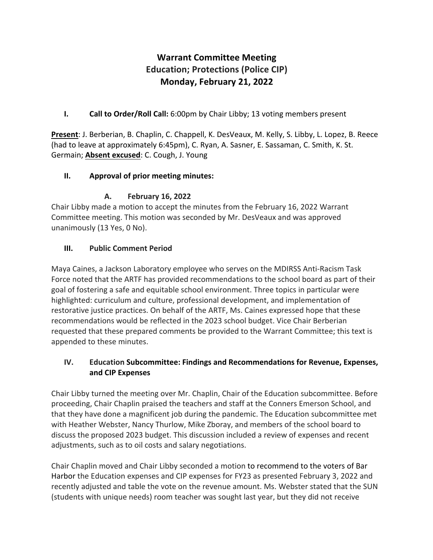# **Warrant Committee Meeting Education; Protections (Police CIP) Monday, February 21, 2022**

**I. Call to Order/Roll Call:** 6:00pm by Chair Libby; 13 voting members present

**Present**: J. Berberian, B. Chaplin, C. Chappell, K. DesVeaux, M. Kelly, S. Libby, L. Lopez, B. Reece (had to leave at approximately 6:45pm), C. Ryan, A. Sasner, E. Sassaman, C. Smith, K. St. Germain; **Absent excused**: C. Cough, J. Young

# **II. Approval of prior meeting minutes:**

# **A. February 16, 2022**

Chair Libby made a motion to accept the minutes from the February 16, 2022 Warrant Committee meeting. This motion was seconded by Mr. DesVeaux and was approved unanimously (13 Yes, 0 No).

# **III. Public Comment Period**

Maya Caines, a Jackson Laboratory employee who serves on the MDIRSS Anti-Racism Task Force noted that the ARTF has provided recommendations to the school board as part of their goal of fostering a safe and equitable school environment. Three topics in particular were highlighted: curriculum and culture, professional development, and implementation of restorative justice practices. On behalf of the ARTF, Ms. Caines expressed hope that these recommendations would be reflected in the 2023 school budget. Vice Chair Berberian requested that these prepared comments be provided to the Warrant Committee; this text is appended to these minutes.

# **IV. Education Subcommittee: Findings and Recommendations for Revenue, Expenses, and CIP Expenses**

Chair Libby turned the meeting over Mr. Chaplin, Chair of the Education subcommittee. Before proceeding, Chair Chaplin praised the teachers and staff at the Conners Emerson School, and that they have done a magnificent job during the pandemic. The Education subcommittee met with Heather Webster, Nancy Thurlow, Mike Zboray, and members of the school board to discuss the proposed 2023 budget. This discussion included a review of expenses and recent adjustments, such as to oil costs and salary negotiations.

Chair Chaplin moved and Chair Libby seconded a motion to recommend to the voters of Bar Harbor the Education expenses and CIP expenses for FY23 as presented February 3, 2022 and recently adjusted and table the vote on the revenue amount. Ms. Webster stated that the SUN (students with unique needs) room teacher was sought last year, but they did not receive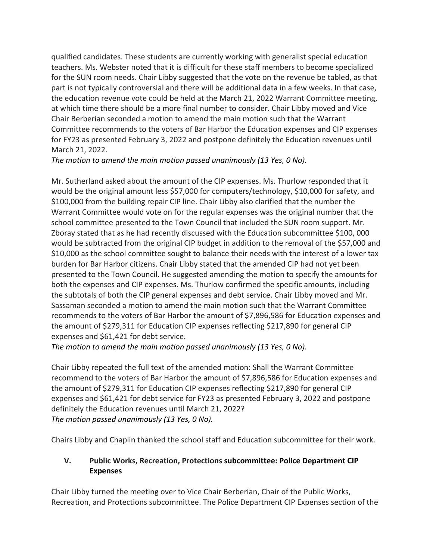qualified candidates. These students are currently working with generalist special education teachers. Ms. Webster noted that it is difficult for these staff members to become specialized for the SUN room needs. Chair Libby suggested that the vote on the revenue be tabled, as that part is not typically controversial and there will be additional data in a few weeks. In that case, the education revenue vote could be held at the March 21, 2022 Warrant Committee meeting, at which time there should be a more final number to consider. Chair Libby moved and Vice Chair Berberian seconded a motion to amend the main motion such that the Warrant Committee recommends to the voters of Bar Harbor the Education expenses and CIP expenses for FY23 as presented February 3, 2022 and postpone definitely the Education revenues until March 21, 2022.

*The motion to amend the main motion passed unanimously (13 Yes, 0 No)*.

Mr. Sutherland asked about the amount of the CIP expenses. Ms. Thurlow responded that it would be the original amount less \$57,000 for computers/technology, \$10,000 for safety, and \$100,000 from the building repair CIP line. Chair Libby also clarified that the number the Warrant Committee would vote on for the regular expenses was the original number that the school committee presented to the Town Council that included the SUN room support. Mr. Zboray stated that as he had recently discussed with the Education subcommittee \$100, 000 would be subtracted from the original CIP budget in addition to the removal of the \$57,000 and \$10,000 as the school committee sought to balance their needs with the interest of a lower tax burden for Bar Harbor citizens. Chair Libby stated that the amended CIP had not yet been presented to the Town Council. He suggested amending the motion to specify the amounts for both the expenses and CIP expenses. Ms. Thurlow confirmed the specific amounts, including the subtotals of both the CIP general expenses and debt service. Chair Libby moved and Mr. Sassaman seconded a motion to amend the main motion such that the Warrant Committee recommends to the voters of Bar Harbor the amount of \$7,896,586 for Education expenses and the amount of \$279,311 for Education CIP expenses reflecting \$217,890 for general CIP expenses and \$61,421 for debt service.

*The motion to amend the main motion passed unanimously (13 Yes, 0 No)*.

Chair Libby repeated the full text of the amended motion: Shall the Warrant Committee recommend to the voters of Bar Harbor the amount of \$7,896,586 for Education expenses and the amount of \$279,311 for Education CIP expenses reflecting \$217,890 for general CIP expenses and \$61,421 for debt service for FY23 as presented February 3, 2022 and postpone definitely the Education revenues until March 21, 2022? *The motion passed unanimously (13 Yes, 0 No).*

Chairs Libby and Chaplin thanked the school staff and Education subcommittee for their work.

# **V. Public Works, Recreation, Protections subcommittee: Police Department CIP Expenses**

Chair Libby turned the meeting over to Vice Chair Berberian, Chair of the Public Works, Recreation, and Protections subcommittee. The Police Department CIP Expenses section of the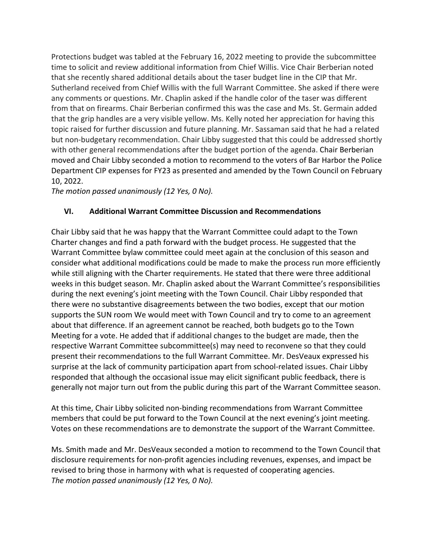Protections budget was tabled at the February 16, 2022 meeting to provide the subcommittee time to solicit and review additional information from Chief Willis. Vice Chair Berberian noted that she recently shared additional details about the taser budget line in the CIP that Mr. Sutherland received from Chief Willis with the full Warrant Committee. She asked if there were any comments or questions. Mr. Chaplin asked if the handle color of the taser was different from that on firearms. Chair Berberian confirmed this was the case and Ms. St. Germain added that the grip handles are a very visible yellow. Ms. Kelly noted her appreciation for having this topic raised for further discussion and future planning. Mr. Sassaman said that he had a related but non-budgetary recommendation. Chair Libby suggested that this could be addressed shortly with other general recommendations after the budget portion of the agenda. Chair Berberian moved and Chair Libby seconded a motion to recommend to the voters of Bar Harbor the Police Department CIP expenses for FY23 as presented and amended by the Town Council on February 10, 2022.

*The motion passed unanimously (12 Yes, 0 No).*

# **VI. Additional Warrant Committee Discussion and Recommendations**

Chair Libby said that he was happy that the Warrant Committee could adapt to the Town Charter changes and find a path forward with the budget process. He suggested that the Warrant Committee bylaw committee could meet again at the conclusion of this season and consider what additional modifications could be made to make the process run more efficiently while still aligning with the Charter requirements. He stated that there were three additional weeks in this budget season. Mr. Chaplin asked about the Warrant Committee's responsibilities during the next evening's joint meeting with the Town Council. Chair Libby responded that there were no substantive disagreements between the two bodies, except that our motion supports the SUN room We would meet with Town Council and try to come to an agreement about that difference. If an agreement cannot be reached, both budgets go to the Town Meeting for a vote. He added that if additional changes to the budget are made, then the respective Warrant Committee subcommittee(s) may need to reconvene so that they could present their recommendations to the full Warrant Committee. Mr. DesVeaux expressed his surprise at the lack of community participation apart from school-related issues. Chair Libby responded that although the occasional issue may elicit significant public feedback, there is generally not major turn out from the public during this part of the Warrant Committee season.

At this time, Chair Libby solicited non-binding recommendations from Warrant Committee members that could be put forward to the Town Council at the next evening's joint meeting. Votes on these recommendations are to demonstrate the support of the Warrant Committee.

Ms. Smith made and Mr. DesVeaux seconded a motion to recommend to the Town Council that disclosure requirements for non-profit agencies including revenues, expenses, and impact be revised to bring those in harmony with what is requested of cooperating agencies. *The motion passed unanimously (12 Yes, 0 No).*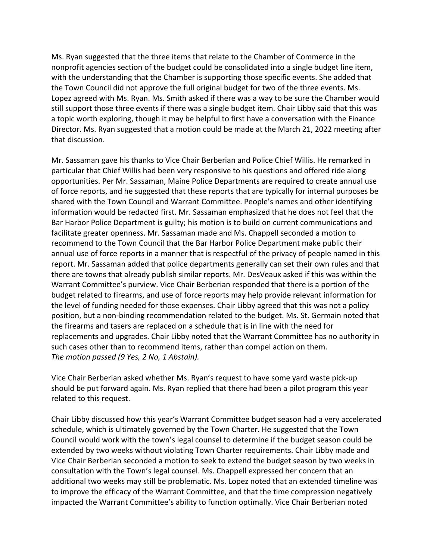Ms. Ryan suggested that the three items that relate to the Chamber of Commerce in the nonprofit agencies section of the budget could be consolidated into a single budget line item, with the understanding that the Chamber is supporting those specific events. She added that the Town Council did not approve the full original budget for two of the three events. Ms. Lopez agreed with Ms. Ryan. Ms. Smith asked if there was a way to be sure the Chamber would still support those three events if there was a single budget item. Chair Libby said that this was a topic worth exploring, though it may be helpful to first have a conversation with the Finance Director. Ms. Ryan suggested that a motion could be made at the March 21, 2022 meeting after that discussion.

Mr. Sassaman gave his thanks to Vice Chair Berberian and Police Chief Willis. He remarked in particular that Chief Willis had been very responsive to his questions and offered ride along opportunities. Per Mr. Sassaman, Maine Police Departments are required to create annual use of force reports, and he suggested that these reports that are typically for internal purposes be shared with the Town Council and Warrant Committee. People's names and other identifying information would be redacted first. Mr. Sassaman emphasized that he does not feel that the Bar Harbor Police Department is guilty; his motion is to build on current communications and facilitate greater openness. Mr. Sassaman made and Ms. Chappell seconded a motion to recommend to the Town Council that the Bar Harbor Police Department make public their annual use of force reports in a manner that is respectful of the privacy of people named in this report. Mr. Sassaman added that police departments generally can set their own rules and that there are towns that already publish similar reports. Mr. DesVeaux asked if this was within the Warrant Committee's purview. Vice Chair Berberian responded that there is a portion of the budget related to firearms, and use of force reports may help provide relevant information for the level of funding needed for those expenses. Chair Libby agreed that this was not a policy position, but a non-binding recommendation related to the budget. Ms. St. Germain noted that the firearms and tasers are replaced on a schedule that is in line with the need for replacements and upgrades. Chair Libby noted that the Warrant Committee has no authority in such cases other than to recommend items, rather than compel action on them. *The motion passed (9 Yes, 2 No, 1 Abstain).*

Vice Chair Berberian asked whether Ms. Ryan's request to have some yard waste pick-up should be put forward again. Ms. Ryan replied that there had been a pilot program this year related to this request.

Chair Libby discussed how this year's Warrant Committee budget season had a very accelerated schedule, which is ultimately governed by the Town Charter. He suggested that the Town Council would work with the town's legal counsel to determine if the budget season could be extended by two weeks without violating Town Charter requirements. Chair Libby made and Vice Chair Berberian seconded a motion to seek to extend the budget season by two weeks in consultation with the Town's legal counsel. Ms. Chappell expressed her concern that an additional two weeks may still be problematic. Ms. Lopez noted that an extended timeline was to improve the efficacy of the Warrant Committee, and that the time compression negatively impacted the Warrant Committee's ability to function optimally. Vice Chair Berberian noted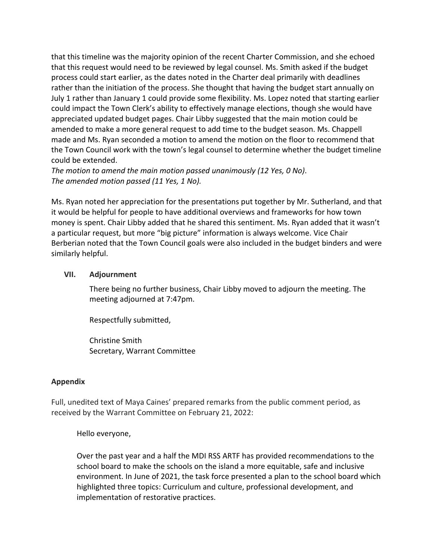that this timeline was the majority opinion of the recent Charter Commission, and she echoed that this request would need to be reviewed by legal counsel. Ms. Smith asked if the budget process could start earlier, as the dates noted in the Charter deal primarily with deadlines rather than the initiation of the process. She thought that having the budget start annually on July 1 rather than January 1 could provide some flexibility. Ms. Lopez noted that starting earlier could impact the Town Clerk's ability to effectively manage elections, though she would have appreciated updated budget pages. Chair Libby suggested that the main motion could be amended to make a more general request to add time to the budget season. Ms. Chappell made and Ms. Ryan seconded a motion to amend the motion on the floor to recommend that the Town Council work with the town's legal counsel to determine whether the budget timeline could be extended.

*The motion to amend the main motion passed unanimously (12 Yes, 0 No)*. *The amended motion passed (11 Yes, 1 No).*

Ms. Ryan noted her appreciation for the presentations put together by Mr. Sutherland, and that it would be helpful for people to have additional overviews and frameworks for how town money is spent. Chair Libby added that he shared this sentiment. Ms. Ryan added that it wasn't a particular request, but more "big picture" information is always welcome. Vice Chair Berberian noted that the Town Council goals were also included in the budget binders and were similarly helpful.

#### **VII. Adjournment**

There being no further business, Chair Libby moved to adjourn the meeting. The meeting adjourned at 7:47pm.

Respectfully submitted,

Christine Smith Secretary, Warrant Committee

#### **Appendix**

Full, unedited text of Maya Caines' prepared remarks from the public comment period, as received by the Warrant Committee on February 21, 2022:

Hello everyone,

Over the past year and a half the MDI RSS ARTF has provided recommendations to the school board to make the schools on the island a more equitable, safe and inclusive environment. In June of 2021, the task force presented a plan to the school board which highlighted three topics: Curriculum and culture, professional development, and implementation of restorative practices.